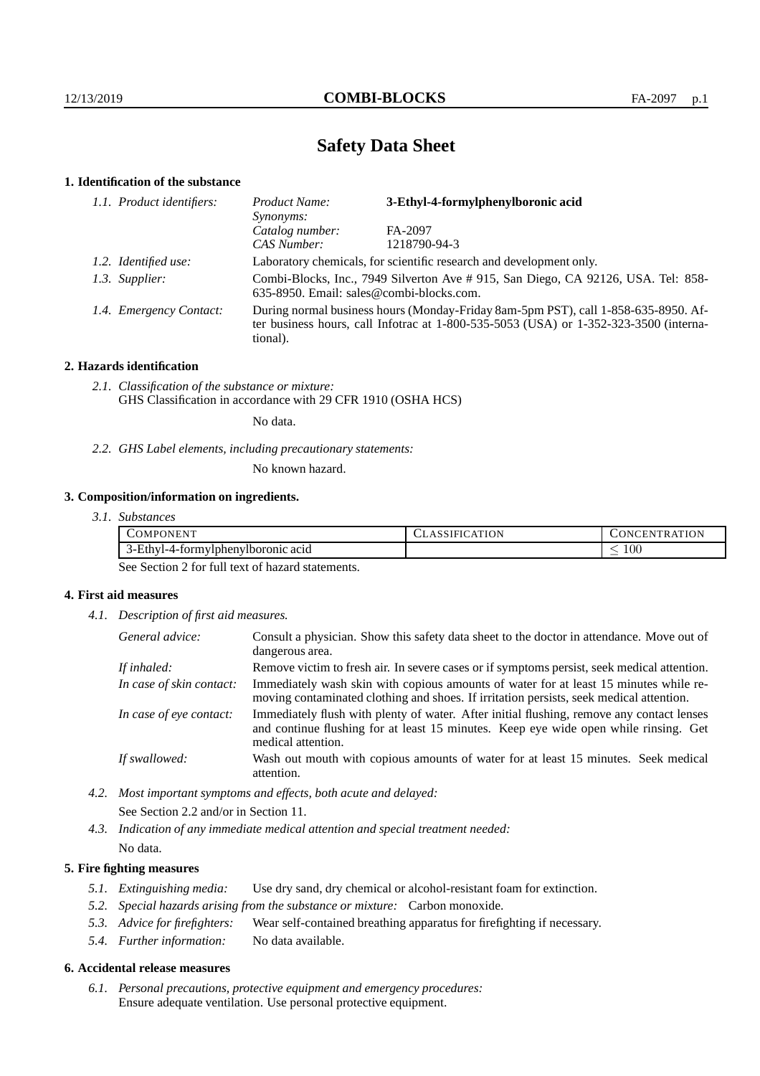# **Safety Data Sheet**

#### **1. Identification of the substance**

| 1.1. Product identifiers: | Product Name:<br>Synonyms:               | 3-Ethyl-4-formylphenylboronic acid                                                                                                                                              |
|---------------------------|------------------------------------------|---------------------------------------------------------------------------------------------------------------------------------------------------------------------------------|
|                           | Catalog number:                          | FA-2097                                                                                                                                                                         |
|                           | CAS Number:                              | 1218790-94-3                                                                                                                                                                    |
| 1.2. Identified use:      |                                          | Laboratory chemicals, for scientific research and development only.                                                                                                             |
| 1.3. Supplier:            | 635-8950. Email: sales@combi-blocks.com. | Combi-Blocks, Inc., 7949 Silverton Ave # 915, San Diego, CA 92126, USA. Tel: 858-                                                                                               |
| 1.4. Emergency Contact:   | tional).                                 | During normal business hours (Monday-Friday 8am-5pm PST), call 1-858-635-8950. Af-<br>ter business hours, call Infotrac at $1-800-535-5053$ (USA) or $1-352-323-3500$ (interna- |

#### **2. Hazards identification**

*2.1. Classification of the substance or mixture:* GHS Classification in accordance with 29 CFR 1910 (OSHA HCS)

No data.

*2.2. GHS Label elements, including precautionary statements:*

No known hazard.

### **3. Composition/information on ingredients.**

| 3.1. Substances |
|-----------------|
|                 |

| <br>$\mathcal{L}OMPC$<br>ONEN <sup>.</sup>  | ATION<br>$\Delta$ | $mm \sim$<br><b>ONCEN</b><br>TR. |
|---------------------------------------------|-------------------|----------------------------------|
| --<br>3-Ethyl-4-formylphenylboronic<br>acid |                   | $100\,$<br>_                     |

See Section 2 for full text of hazard statements.

#### **4. First aid measures**

*4.1. Description of first aid measures.*

| General advice:          | Consult a physician. Show this safety data sheet to the doctor in attendance. Move out of<br>dangerous area.                                                                                            |
|--------------------------|---------------------------------------------------------------------------------------------------------------------------------------------------------------------------------------------------------|
| If inhaled:              | Remove victim to fresh air. In severe cases or if symptoms persist, seek medical attention.                                                                                                             |
| In case of skin contact: | Immediately wash skin with copious amounts of water for at least 15 minutes while re-<br>moving contaminated clothing and shoes. If irritation persists, seek medical attention.                        |
| In case of eye contact:  | Immediately flush with plenty of water. After initial flushing, remove any contact lenses<br>and continue flushing for at least 15 minutes. Keep eye wide open while rinsing. Get<br>medical attention. |
| If swallowed:            | Wash out mouth with copious amounts of water for at least 15 minutes. Seek medical<br>attention.                                                                                                        |

*4.2. Most important symptoms and effects, both acute and delayed:* See Section 2.2 and/or in Section 11.

*4.3. Indication of any immediate medical attention and special treatment needed:* No data.

#### **5. Fire fighting measures**

- *5.1. Extinguishing media:* Use dry sand, dry chemical or alcohol-resistant foam for extinction.
- *5.2. Special hazards arising from the substance or mixture:* Carbon monoxide.
- *5.3. Advice for firefighters:* Wear self-contained breathing apparatus for firefighting if necessary.
- *5.4. Further information:* No data available.

#### **6. Accidental release measures**

*6.1. Personal precautions, protective equipment and emergency procedures:* Ensure adequate ventilation. Use personal protective equipment.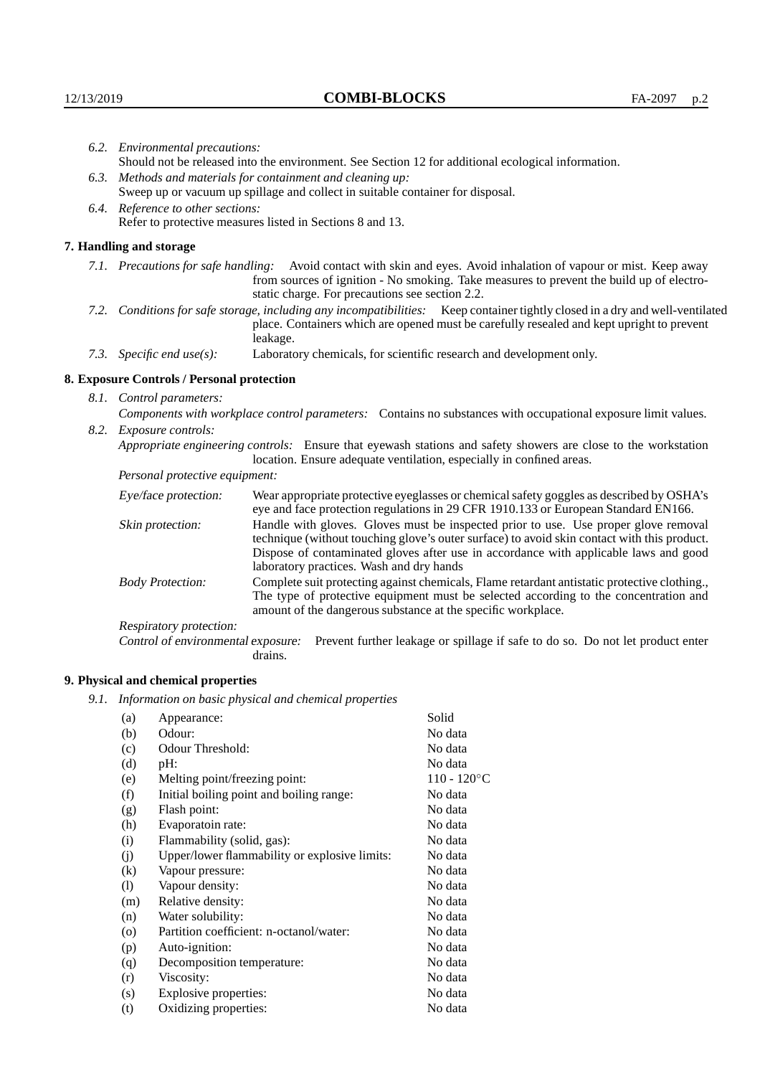| 6.2. Environmental precautions:                                                                               |                                                                                                                                                                                                                                                                                                                        |  |  |
|---------------------------------------------------------------------------------------------------------------|------------------------------------------------------------------------------------------------------------------------------------------------------------------------------------------------------------------------------------------------------------------------------------------------------------------------|--|--|
| Should not be released into the environment. See Section 12 for additional ecological information.            |                                                                                                                                                                                                                                                                                                                        |  |  |
| 6.3. Methods and materials for containment and cleaning up:                                                   |                                                                                                                                                                                                                                                                                                                        |  |  |
| Sweep up or vacuum up spillage and collect in suitable container for disposal.                                |                                                                                                                                                                                                                                                                                                                        |  |  |
| 6.4. Reference to other sections:                                                                             |                                                                                                                                                                                                                                                                                                                        |  |  |
| Refer to protective measures listed in Sections 8 and 13.                                                     |                                                                                                                                                                                                                                                                                                                        |  |  |
|                                                                                                               |                                                                                                                                                                                                                                                                                                                        |  |  |
|                                                                                                               | 7.1. Precautions for safe handling: Avoid contact with skin and eyes. Avoid inhalation of vapour or mist. Keep away<br>from sources of ignition - No smoking. Take measures to prevent the build up of electro-<br>static charge. For precautions see section 2.2.                                                     |  |  |
|                                                                                                               | 7.2. Conditions for safe storage, including any incompatibilities: Keep container tightly closed in a dry and well-ventilated<br>place. Containers which are opened must be carefully resealed and kept upright to prevent<br>leakage.                                                                                 |  |  |
|                                                                                                               | Laboratory chemicals, for scientific research and development only.                                                                                                                                                                                                                                                    |  |  |
| 8. Exposure Controls / Personal protection                                                                    |                                                                                                                                                                                                                                                                                                                        |  |  |
|                                                                                                               |                                                                                                                                                                                                                                                                                                                        |  |  |
| Components with workplace control parameters: Contains no substances with occupational exposure limit values. |                                                                                                                                                                                                                                                                                                                        |  |  |
|                                                                                                               |                                                                                                                                                                                                                                                                                                                        |  |  |
|                                                                                                               | Appropriate engineering controls: Ensure that eyewash stations and safety showers are close to the workstation<br>location. Ensure adequate ventilation, especially in confined areas.                                                                                                                                 |  |  |
| Personal protective equipment:                                                                                |                                                                                                                                                                                                                                                                                                                        |  |  |
| Eye/face protection:                                                                                          | Wear appropriate protective eyeglasses or chemical safety goggles as described by OSHA's<br>eye and face protection regulations in 29 CFR 1910.133 or European Standard EN166.                                                                                                                                         |  |  |
| Skin protection:                                                                                              | Handle with gloves. Gloves must be inspected prior to use. Use proper glove removal<br>technique (without touching glove's outer surface) to avoid skin contact with this product.<br>Dispose of contaminated gloves after use in accordance with applicable laws and good<br>laboratory practices. Wash and dry hands |  |  |
| <b>Body Protection:</b>                                                                                       | Complete suit protecting against chemicals, Flame retardant antistatic protective clothing.,<br>The type of protective equipment must be selected according to the concentration and<br>amount of the dangerous substance at the specific workplace.                                                                   |  |  |
| Respiratory protection:                                                                                       |                                                                                                                                                                                                                                                                                                                        |  |  |
|                                                                                                               | 7. Handling and storage<br>7.3. Specific end use(s):<br>8.1. Control parameters:<br>8.2. Exposure controls:                                                                                                                                                                                                            |  |  |

Control of environmental exposure: Prevent further leakage or spillage if safe to do so. Do not let product enter drains.

## **9. Physical and chemical properties**

*9.1. Information on basic physical and chemical properties*

| (a)     | Appearance:                                   | Solid          |
|---------|-----------------------------------------------|----------------|
| (b)     | Odour:                                        | No data        |
| (c)     | Odour Threshold:                              | No data        |
| (d)     | $pH$ :                                        | No data        |
| (e)     | Melting point/freezing point:                 | $110 - 120$ °C |
| (f)     | Initial boiling point and boiling range:      | No data        |
| (g)     | Flash point:                                  | No data        |
| (h)     | Evaporatoin rate:                             | No data        |
| (i)     | Flammability (solid, gas):                    | No data        |
| (i)     | Upper/lower flammability or explosive limits: | No data        |
| (k)     | Vapour pressure:                              | No data        |
| (1)     | Vapour density:                               | No data        |
| (m)     | Relative density:                             | No data        |
| (n)     | Water solubility:                             | No data        |
| $\circ$ | Partition coefficient: n-octanol/water:       | No data        |
| (p)     | Auto-ignition:                                | No data        |
| (q)     | Decomposition temperature:                    | No data        |
| (r)     | Viscosity:                                    | No data        |
| (s)     | Explosive properties:                         | No data        |
| (t)     | Oxidizing properties:                         | No data        |
|         |                                               |                |